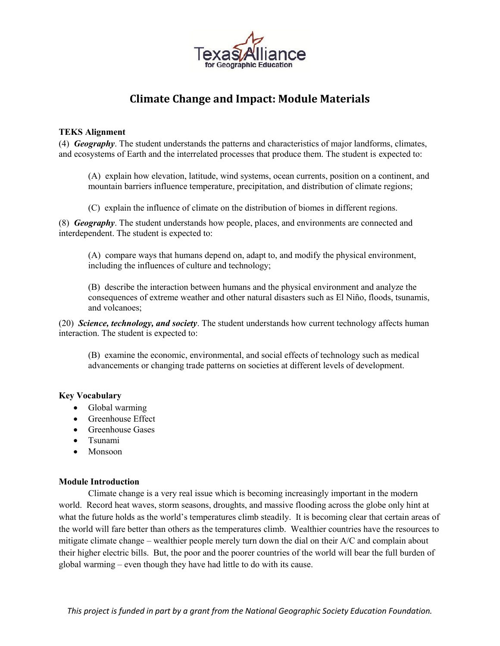

# **Climate Change and Impact: Module Materials**

#### **TEKS Alignment**

(4) *Geography*. The student understands the patterns and characteristics of major landforms, climates, and ecosystems of Earth and the interrelated processes that produce them. The student is expected to:

(A) explain how elevation, latitude, wind systems, ocean currents, position on a continent, and mountain barriers influence temperature, precipitation, and distribution of climate regions;

(C) explain the influence of climate on the distribution of biomes in different regions.

(8) *Geography*. The student understands how people, places, and environments are connected and interdependent. The student is expected to:

(A) compare ways that humans depend on, adapt to, and modify the physical environment, including the influences of culture and technology;

(B) describe the interaction between humans and the physical environment and analyze the consequences of extreme weather and other natural disasters such as El Niño, floods, tsunamis, and volcanoes;

(20) *Science, technology, and society*. The student understands how current technology affects human interaction. The student is expected to:

(B) examine the economic, environmental, and social effects of technology such as medical advancements or changing trade patterns on societies at different levels of development.

#### **Key Vocabulary**

- Global warming
- Greenhouse Effect
- Greenhouse Gases
- Tsunami
- Monsoon

#### **Module Introduction**

Climate change is a very real issue which is becoming increasingly important in the modern world. Record heat waves, storm seasons, droughts, and massive flooding across the globe only hint at what the future holds as the world's temperatures climb steadily. It is becoming clear that certain areas of the world will fare better than others as the temperatures climb. Wealthier countries have the resources to mitigate climate change – wealthier people merely turn down the dial on their A/C and complain about their higher electric bills. But, the poor and the poorer countries of the world will bear the full burden of global warming – even though they have had little to do with its cause.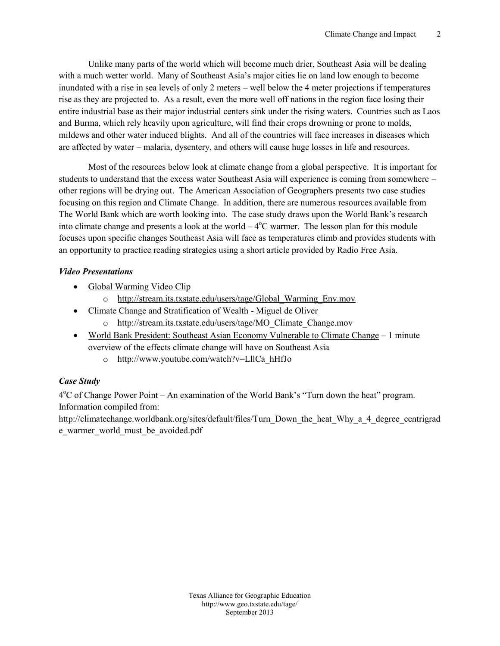Unlike many parts of the world which will Abseigaomaielln bue cholectarliiering South and  $\sim$ with a much wetter world. Many of Southeast Asia s major cities lie inundated with a rise in sea leweells boefloownly het 4 mentert projections if to rise as they are **A**soaeceted to even the more well off nations in the re entire industrial base as their major industrial centers sink under th and Burma, which rely heavily upon agosiodurlotweneing will find the enterodured s, mildews and other water induced blights. And all of the countries w are affected bmyahearier, dysentery, and others will cause huge losses i

Most of the resources below look at climate change from a globa students to understand that the excess water Southeast Asia will exp other regions will bTehedrAyming riocuantati Acosns on of iGeographers presents two ca focusing on this region and Climate Change. In addition, there are numerous The World Bank which are worth looking into. The case study draws into calien change and presents a  $Cov$  beramterhe Twhoerliclesson plan for this module focuses upon specific changes Southeast Asia will face as temperatures an opportunity to practice reading tisctlreat pergonive isolengia asolhior Fraee Asia.

Video Presentations

- ð· [Global Warmin](http://stream.its.txstate.edu/users/tage/Global_Warming_Env.mov)g Video Clip
- o http://stream.its.txstate.edu/users/tage/Global\_Warming\_En ð· Climate Change and Strati Miconutied nde fO Wievaelnth
	- o http://stream.its.txstate.edu/users/tage/MO\_Climate\_Chang
- ð· World Bank P $S$ eosuitcheenatst Asian Economy VulnerablenitnoutCelimate Ch overview of the effects climate change will have on Southeast A o http://www.youtube.com/watch?v=LllCa\_hHfJo

Case Study

 $4^{\circ}$ C of Change Power er Realm thation of the World Bank s Turn down the Information compiled from:

http://climatechange.worldbank.org/sites/default/files/Turn\_Down\_th e\_warmer\_world\_must\_be\_avoided.pdf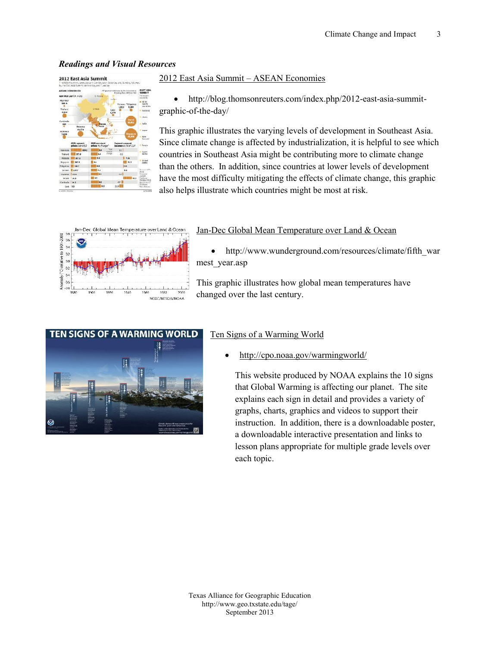#### Readings and Vusuas Reso

#### <u>2012 East Asia A SSLEMANNIE co</u>nomies

ð http://blog.thomsonreuters.-ea mad bihand men mothp/2012  $grap$ -whif  $ch$ -eday/

This graphic il eu sara ries the vels of development in Southeast Asia. Since climate change is affected by industrialization countries in Southeast Asia might be contributing mo than the others. In additiolon we sainle of development redevelopment and the set of  $\mathbf{p}$ have the most difficulty mitigating the effects of clim also helps illustrate which countries might be most a

#### Ja-Dec Global Mean Temperature over Land & O

ð· http://www.wunderground.com/resources/cl mest\_year.asp

This graphic illustrates how global mean tempe changed over the last century.

#### Ten Signs of a Warming World

ð· http://cpo.noaa.gov/warmingworld/

This website produced by NOAA explains that Global Warming is affecting our plan explains each sign in dataalrianty provides graphs, charts, graphics and videos to su  $instructor.$  In addition,  $h$ ere is  $\infty$  to the  $o$  to the  $o$ a downloadable interactive presentation lesson plans appropriate for multiple gra each topic.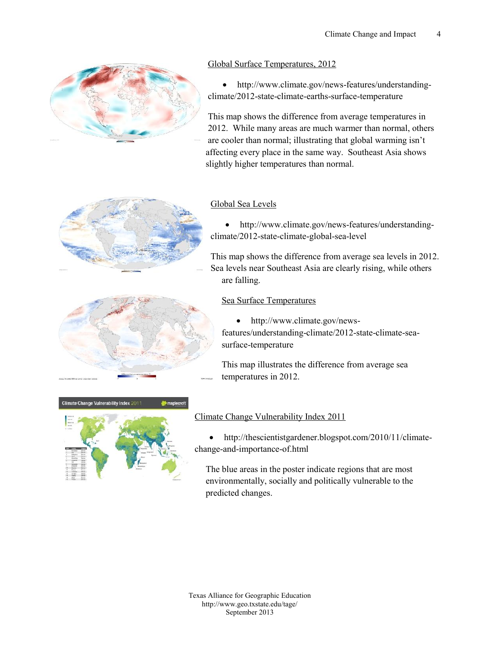#### [Global Surface Temp](http://www.climate.gov/news-features/understanding-climate/2012-state-climate-earths-surface-temperature)eratures, 2012

ð $\cdot$  http://www.climatfee.agtown/ense/wussiderstanding  $climate/2t$   $0$ af $c2$ imaetært $s$ usrfate empereatur

This map shows the difference from average t 2012. While many areas are much warmer tha are cooler than normal; illustrating that globa affecting every place in the same way. South slightbyh**e** i temperatures than normal.

#### [Global Sea](http://www.climate.gov/news-features/understanding-climate/2012-state-climate-global-sea-level) Levels

ð $\cdot$  http://www.climatfee.agtown/ense/wusselerstanding climate -22:10a4c2eimagtleobsael-beevl

This map shows the difference from average Sea lerve also utheast Asia are when the risising are falling.

#### [Sea Surface Te](http://www.climate.gov/news-features/understanding-climate/2012-state-climate-sea-surface-temperature)mperatures

ð· http://www.climate.gov/news features/undeorlsimaantdei/no2010a1c2eimastoea surfateemperature

This masptrialtues the differeangree sfecam ave temperatures in 2012.

#### [Climate Change Vulnera](http://thescientistgardener.blogspot.com/2010/11/climate-change-and-importance-of.html)bility Index 2011

ð· http://thescientistgardener.bolbigmsaptoet.com/21 chanage—dmportaonfchetml

The blue areas in the poster indicate regions environmentally, socially and politically vulne predicted changes.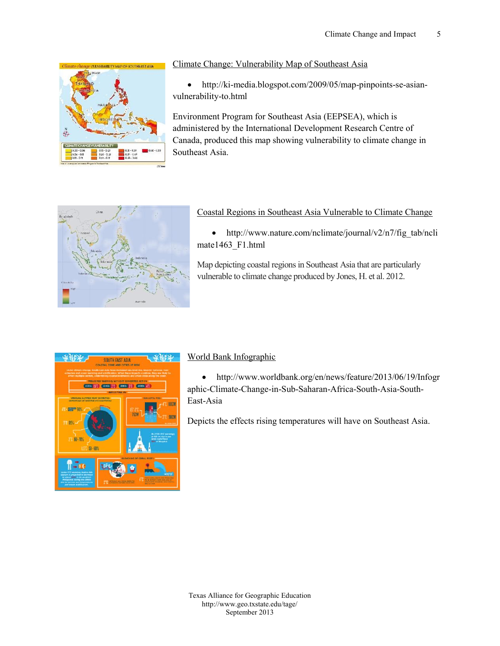[Climate Change: Vulnerability](http://ki-media.blogspot.com/2009/05/map-pinpoints-se-asian-vulnerability-to.html) Map of Southeast As

ð http://n/leidia.blogspot.com- $p$ 2009/96/6565/mineamp vulnerabolihtml

Environment Progthemastor ASsia (EEPSEA), which is administered by the International Development Res Canada, prodmapdshhois ing vulnerability to climate of Southeast Asia.

#### [Coastal Regions in Southeast Asia Vu](http://www.nature.com/nclimate/journal/v2/n7/fig_tab/nclimate1463_F1.html)lnerable

ð· http://www.nature.com/nclimate/journal/v2, mate1463\_F1.html

Map depictisting cregions in Southeasty Asia that are vulnerable to climinadeu cochobing we Jones, H. et al. 2012

#### [World Bank In](http://www.worldbank.org/en/news/feature/2013/06/19/Infographic-Climate-Change-in-Sub-Saharan-Africa-South-Asia-South-East-Asia)fographic

ð· http://www.worldbank.org/en/news/feature/2 aph-ColimaCt be a n-igneSu-SS a h a-AfrinieSaou-Ahsi-Stou-th EasAtsia

Depichse effects rising temperatures will have on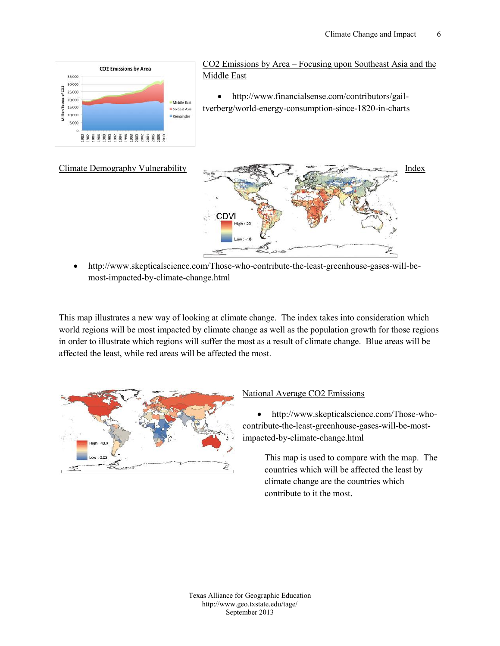CO2 Emissions Floyculasienag upon Southeast Asia [Middle](http://www.financialsense.com/contributors/gail-tverberg/world-energy-consumption-since-1820-in-charts) East

ð· http://www.financialsense.com/contributor tverberg/worded onsumpstiin on each charts

#### <u>[Climate Demography](http://www.skepticalscience.com/Those-who-contribute-the-least-greenhouse-gases-will-be-most-impacted-by-climate-change.html)</u> V[ulnerability](http://www.skepticalscience.com/Those-who-contribute-the-least-greenhouse-gases-will-be-most-impacted-by-climate-change.html) **[Ind](http://www.skepticalscience.com/Those-who-contribute-the-least-greenhouse-gases-will-be-most-impacted-by-climate-change.html)ex**

ð http://www.skepticalscienchocon.ctom/th/DT4blecasseteenhog aussewil-bemositmpac-beyed limactheange.html

This map illustrates a new way of looking at climate change. The in world regions will be most impacted by climate change as well as the in order to illustrate which regions will suffer the most as a result o affected the least, while red areas will be affected the most.

[National Average C](http://www.skepticalscience.com/Those-who-contribute-the-least-greenhouse-gases-will-be-most-impacted-by-climate-change.html)O2 Emissions

ð· http://www.skepticalsciwehoe.com/Th contributhee a-greenh-gas-evsi-lbemost impac-beyedlimactheange.html

This map is used to commapare hweith the countries which will be affected the climate change are the countries wh contribute to it the most.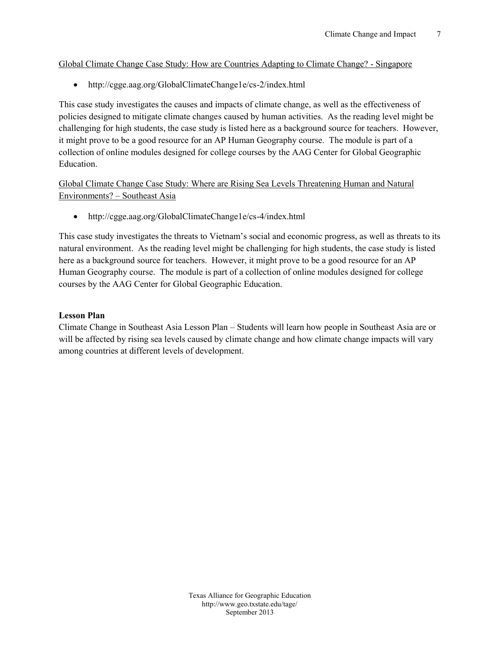#### Global Climate Change Ca**Ge** uShturdeys Alophay pained to GS imate a Cheange?

ð· http://cgge.aag.org/Global $\Omega$ lim dex.Chhamige1e/cs

This case study investigates the causes and impacts of climate chan policies designed to miti**g**ad**e** ucslemate chamage activities. As the reading level might be adding to many level might be adding to the reading political might be adding to might be a subsequent be a subsequent of  $\alpha$ challenging for high students, the case study is listed here as a bac it might prove to be a good resource for an AP Humant Geagraphy co collection of online modules designed for college courses by the AA Education.

Global Climate Change Case Study: WThherreeateerneinRgishihugm Sene aanLoe Weatsural Environme Southeast Asia

ð $\cdot$  http://cgge.aag.org/Global@l/iimeltex.Chitamilge1e/cs

This case study investigates the threats to Vietnam s social and eco natural environme ermetading the vel might be challenging for high student here as a background source for teachers. However, it might prove Human Geography course. The module is parst obeis agenceld efoot ion onlock on the module module shows and the courses by the AAG Center for Global Geographic Education.

Lesson Plan

Climate Change in Southeas St Ausdieants and Delaan how people in Southe will be affected by rising sea levnegle aad sheod wb plich niantaete hoa hoage impacts among countries at different levels of development.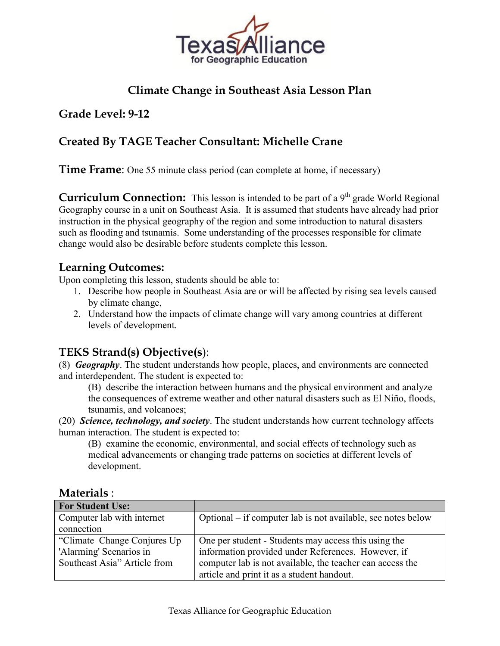

# **Climate Change in Southeast Asia Lesson Plan**

## **Grade Level: 9-12**

# **Created By TAGE Teacher Consultant: Michelle Crane**

**Time Frame:** One 55 minute class period (can complete at home, if necessary)

**Curriculum Connection:** This lesson is intended to be part of a 9<sup>th</sup> grade World Regional Geography course in a unit on Southeast Asia. It is assumed that students have already had prior instruction in the physical geography of the region and some introduction to natural disasters such as flooding and tsunamis. Some understanding of the processes responsible for climate change would also be desirable before students complete this lesson.

### **Learning Outcomes:**

Upon completing this lesson, students should be able to:

- 1. Describe how people in Southeast Asia are or will be affected by rising sea levels caused by climate change,
- 2. Understand how the impacts of climate change will vary among countries at different levels of development.

# **TEKS Strand(s) Objective(s**):

(8) *Geography*. The student understands how people, places, and environments are connected and interdependent. The student is expected to:

(B) describe the interaction between humans and the physical environment and analyze the consequences of extreme weather and other natural disasters such as El Niño, floods, tsunamis, and volcanoes;

(20) *Science, technology, and society*. The student understands how current technology affects human interaction. The student is expected to:

(B) examine the economic, environmental, and social effects of technology such as medical advancements or changing trade patterns on societies at different levels of development.

| <b>For Student Use:</b>      |                                                              |  |
|------------------------------|--------------------------------------------------------------|--|
| Computer lab with internet   | Optional – if computer lab is not available, see notes below |  |
| connection                   |                                                              |  |
| "Climate Change Conjures Up" | One per student - Students may access this using the         |  |
| 'Alarming' Scenarios in      | information provided under References. However, if           |  |
| Southeast Asia" Article from | computer lab is not available, the teacher can access the    |  |
|                              | article and print it as a student handout.                   |  |

### **Materials** :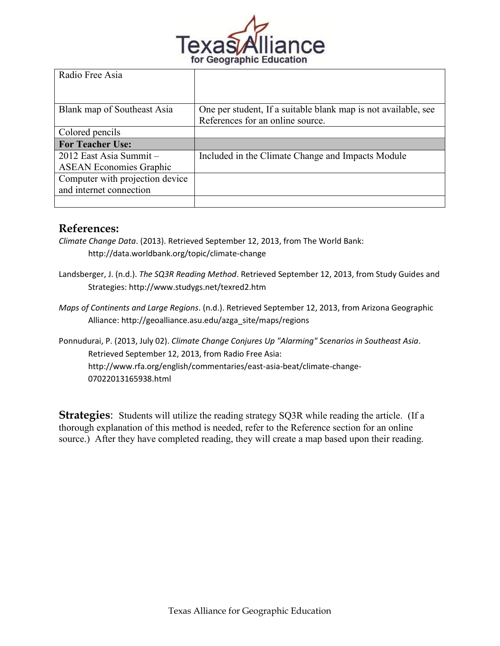

| Radio Free Asia                 |                                                                |
|---------------------------------|----------------------------------------------------------------|
|                                 |                                                                |
| Blank map of Southeast Asia     | One per student, If a suitable blank map is not available, see |
|                                 | References for an online source.                               |
| Colored pencils                 |                                                                |
| <b>For Teacher Use:</b>         |                                                                |
| 2012 East Asia Summit-          | Included in the Climate Change and Impacts Module              |
| <b>ASEAN Economies Graphic</b>  |                                                                |
| Computer with projection device |                                                                |
| and internet connection         |                                                                |
|                                 |                                                                |

### **References:**

- *Climate Change Data*. (2013). Retrieved September 12, 2013, from The World Bank: http://data.worldbank.org/topic/climate-change
- Landsberger, J. (n.d.). *The SQ3R Reading Method*. Retrieved September 12, 2013, from Study Guides and Strategies: http://www.studygs.net/texred2.htm
- *Maps of Continents and Large Regions*. (n.d.). Retrieved September 12, 2013, from Arizona Geographic Alliance: http://geoalliance.asu.edu/azga\_site/maps/regions

Ponnudurai, P. (2013, July 02). *Climate Change Conjures Up "Alarming" Scenarios in Southeast Asia*. Retrieved September 12, 2013, from Radio Free Asia: http://www.rfa.org/english/commentaries/east-asia-beat/climate-change-07022013165938.html

**Strategies:** Students will utilize the reading strategy SQ3R while reading the article. (If a thorough explanation of this method is needed, refer to the Reference section for an online source.) After they have completed reading, they will create a map based upon their reading.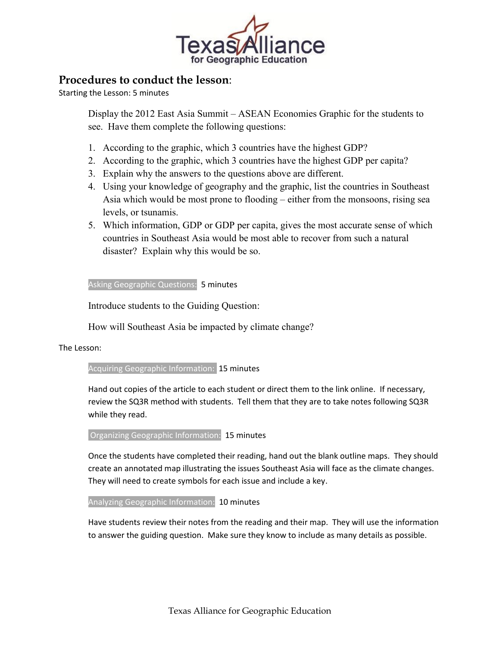

### **Procedures to conduct the lesson**:

Starting the Lesson: 5 minutes

Display the 2012 East Asia Summit – ASEAN Economies Graphic for the students to see. Have them complete the following questions:

- 1. According to the graphic, which 3 countries have the highest GDP?
- 2. According to the graphic, which 3 countries have the highest GDP per capita?
- 3. Explain why the answers to the questions above are different.
- 4. Using your knowledge of geography and the graphic, list the countries in Southeast Asia which would be most prone to flooding – either from the monsoons, rising sea levels, or tsunamis.
- 5. Which information, GDP or GDP per capita, gives the most accurate sense of which countries in Southeast Asia would be most able to recover from such a natural disaster? Explain why this would be so.

Asking Geographic Questions: 5 minutes

Introduce students to the Guiding Question:

How will Southeast Asia be impacted by climate change?

The Lesson:

Acquiring Geographic Information: 15 minutes

Hand out copies of the article to each student or direct them to the link online. If necessary, review the SQ3R method with students. Tell them that they are to take notes following SQ3R while they read.

Organizing Geographic Information: 15 minutes

Once the students have completed their reading, hand out the blank outline maps. They should create an annotated map illustrating the issues Southeast Asia will face as the climate changes. They will need to create symbols for each issue and include a key.

Analyzing Geographic Information: 10 minutes

Have students review their notes from the reading and their map. They will use the information to answer the guiding question. Make sure they know to include as many details as possible.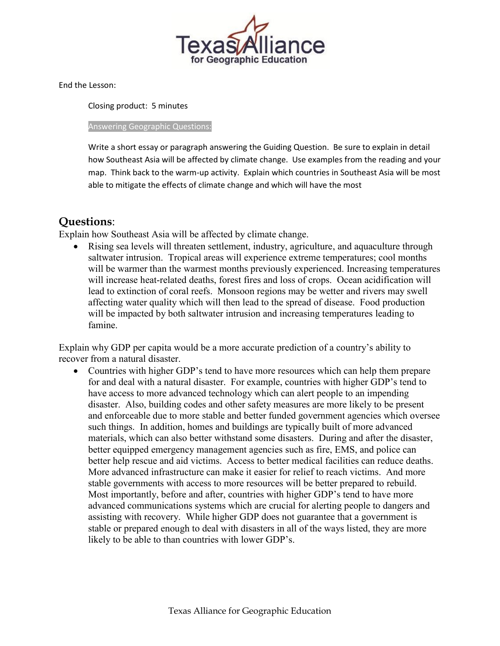

End the Lesson:

Closing product: 5 minutes

Answering Geographic Questions:

Write a short essay or paragraph answering the Guiding Question. Be sure to explain in detail how Southeast Asia will be affected by climate change. Use examples from the reading and your map. Think back to the warm-up activity. Explain which countries in Southeast Asia will be most able to mitigate the effects of climate change and which will have the most

# **Questions**:

Explain how Southeast Asia will be affected by climate change.

 Rising sea levels will threaten settlement, industry, agriculture, and aquaculture through saltwater intrusion. Tropical areas will experience extreme temperatures; cool months will be warmer than the warmest months previously experienced. Increasing temperatures will increase heat-related deaths, forest fires and loss of crops. Ocean acidification will lead to extinction of coral reefs. Monsoon regions may be wetter and rivers may swell affecting water quality which will then lead to the spread of disease. Food production will be impacted by both saltwater intrusion and increasing temperatures leading to famine.

Explain why GDP per capita would be a more accurate prediction of a country's ability to recover from a natural disaster.

 Countries with higher GDP's tend to have more resources which can help them prepare for and deal with a natural disaster. For example, countries with higher GDP's tend to have access to more advanced technology which can alert people to an impending disaster. Also, building codes and other safety measures are more likely to be present and enforceable due to more stable and better funded government agencies which oversee such things. In addition, homes and buildings are typically built of more advanced materials, which can also better withstand some disasters. During and after the disaster, better equipped emergency management agencies such as fire, EMS, and police can better help rescue and aid victims. Access to better medical facilities can reduce deaths. More advanced infrastructure can make it easier for relief to reach victims. And more stable governments with access to more resources will be better prepared to rebuild. Most importantly, before and after, countries with higher GDP's tend to have more advanced communications systems which are crucial for alerting people to dangers and assisting with recovery. While higher GDP does not guarantee that a government is stable or prepared enough to deal with disasters in all of the ways listed, they are more likely to be able to than countries with lower GDP's.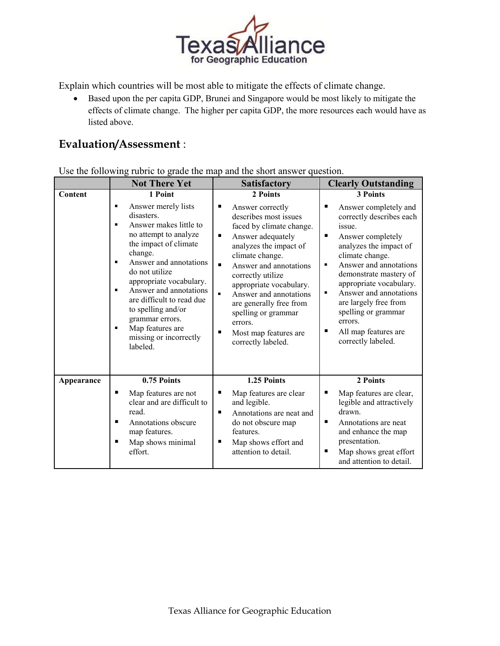

Explain which countries will be most able to mitigate the effects of climate change.

 Based upon the per capita GDP, Brunei and Singapore would be most likely to mitigate the effects of climate change. The higher per capita GDP, the more resources each would have as listed above.

# **Evaluation/Assessment** :

Use the following rubric to grade the map and the short answer question.

|            | <b>Not There Yet</b>                                                                                                                                                                                                                                                                                                                                                                                                      | <b>Satisfactory</b>                                                                                                                                                                                                                                                                                                                                                                           | <b>Clearly Outstanding</b>                                                                                                                                                                                                                                                                                                                                                            |
|------------|---------------------------------------------------------------------------------------------------------------------------------------------------------------------------------------------------------------------------------------------------------------------------------------------------------------------------------------------------------------------------------------------------------------------------|-----------------------------------------------------------------------------------------------------------------------------------------------------------------------------------------------------------------------------------------------------------------------------------------------------------------------------------------------------------------------------------------------|---------------------------------------------------------------------------------------------------------------------------------------------------------------------------------------------------------------------------------------------------------------------------------------------------------------------------------------------------------------------------------------|
| Content    | 1 Point                                                                                                                                                                                                                                                                                                                                                                                                                   | 2 Points                                                                                                                                                                                                                                                                                                                                                                                      | <b>3 Points</b>                                                                                                                                                                                                                                                                                                                                                                       |
|            | Answer merely lists<br>$\blacksquare$<br>disasters.<br>Answer makes little to<br>$\blacksquare$<br>no attempt to analyze<br>the impact of climate<br>change.<br>Answer and annotations<br>$\blacksquare$<br>do not utilize<br>appropriate vocabulary.<br>Answer and annotations<br>٠<br>are difficult to read due<br>to spelling and/or<br>grammar errors.<br>Map features are<br>٠<br>missing or incorrectly<br>labeled. | п<br>Answer correctly<br>describes most issues<br>faced by climate change.<br>٠<br>Answer adequately<br>analyzes the impact of<br>climate change.<br>٠<br>Answer and annotations<br>correctly utilize<br>appropriate vocabulary.<br>$\blacksquare$<br>Answer and annotations<br>are generally free from<br>spelling or grammar<br>errors.<br>Most map features are<br>п<br>correctly labeled. | Answer completely and<br>п<br>correctly describes each<br>issue.<br>п<br>Answer completely<br>analyzes the impact of<br>climate change.<br>Answer and annotations<br>٠<br>demonstrate mastery of<br>appropriate vocabulary.<br>Answer and annotations<br>$\blacksquare$<br>are largely free from<br>spelling or grammar<br>errors.<br>All map features are<br>п<br>correctly labeled. |
| Appearance | 0.75 Points                                                                                                                                                                                                                                                                                                                                                                                                               | 1.25 Points                                                                                                                                                                                                                                                                                                                                                                                   | 2 Points                                                                                                                                                                                                                                                                                                                                                                              |
|            | Map features are not<br>п<br>clear and are difficult to<br>read.<br>п<br>Annotations obscure<br>map features.<br>Map shows minimal<br>п<br>effort.                                                                                                                                                                                                                                                                        | п<br>Map features are clear<br>and legible.<br>п<br>Annotations are neat and<br>do not obscure map<br>features.<br>Map shows effort and<br>п<br>attention to detail.                                                                                                                                                                                                                          | Map features are clear,<br>п<br>legible and attractively<br>drawn.<br>п<br>Annotations are neat<br>and enhance the map<br>presentation.<br>Map shows great effort<br>п<br>and attention to detail.                                                                                                                                                                                    |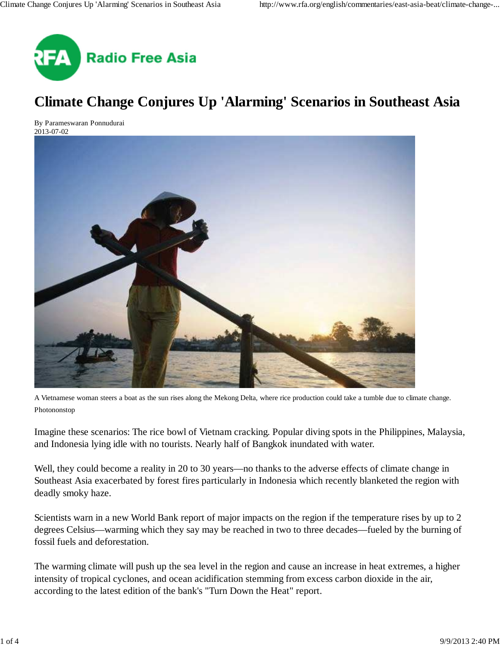

# **Climate Change Conjures Up 'Alarming' Scenarios in Southeast Asia**

By Parameswaran Ponnudurai 2013-07-02



A Vietnamese woman steers a boat as the sun rises along the Mekong Delta, where rice production could take a tumble due to climate change. Photononstop

Imagine these scenarios: The rice bowl of Vietnam cracking. Popular diving spots in the Philippines, Malaysia, and Indonesia lying idle with no tourists. Nearly half of Bangkok inundated with water.

Well, they could become a reality in 20 to 30 years—no thanks to the adverse effects of climate change in Southeast Asia exacerbated by forest fires particularly in Indonesia which recently blanketed the region with deadly smoky haze.

Scientists warn in a new World Bank report of major impacts on the region if the temperature rises by up to 2 degrees Celsius—warming which they say may be reached in two to three decades—fueled by the burning of fossil fuels and deforestation.

The warming climate will push up the sea level in the region and cause an increase in heat extremes, a higher intensity of tropical cyclones, and ocean acidification stemming from excess carbon dioxide in the air, according to the latest edition of the bank's "Turn Down the Heat" report.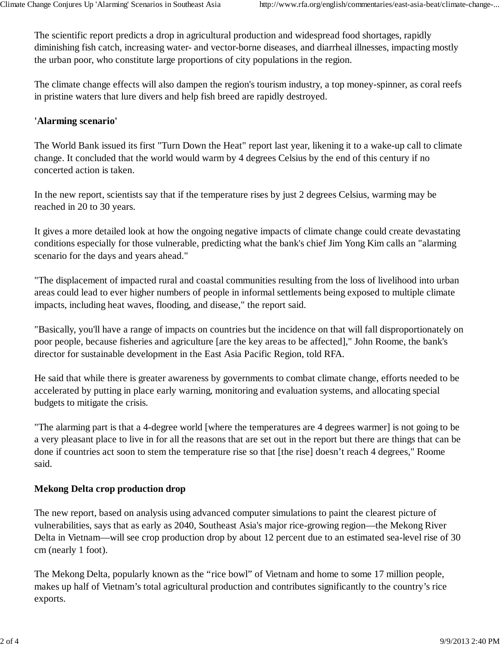The scientific report predicts a drop in agricultural production and widespread food shortages, rapidly diminishing fish catch, increasing water- and vector-borne diseases, and diarrheal illnesses, impacting mostly the urban poor, who constitute large proportions of city populations in the region.

The climate change effects will also dampen the region's tourism industry, a top money-spinner, as coral reefs in pristine waters that lure divers and help fish breed are rapidly destroyed.

### **'Alarming scenario'**

The World Bank issued its first "Turn Down the Heat" report last year, likening it to a wake-up call to climate change. It concluded that the world would warm by 4 degrees Celsius by the end of this century if no concerted action is taken.

In the new report, scientists say that if the temperature rises by just 2 degrees Celsius, warming may be reached in 20 to 30 years.

It gives a more detailed look at how the ongoing negative impacts of climate change could create devastating conditions especially for those vulnerable, predicting what the bank's chief Jim Yong Kim calls an "alarming scenario for the days and years ahead."

"The displacement of impacted rural and coastal communities resulting from the loss of livelihood into urban areas could lead to ever higher numbers of people in informal settlements being exposed to multiple climate impacts, including heat waves, flooding, and disease," the report said.

"Basically, you'll have a range of impacts on countries but the incidence on that will fall disproportionately on poor people, because fisheries and agriculture [are the key areas to be affected]," John Roome, the bank's director for sustainable development in the East Asia Pacific Region, told RFA.

He said that while there is greater awareness by governments to combat climate change, efforts needed to be accelerated by putting in place early warning, monitoring and evaluation systems, and allocating special budgets to mitigate the crisis.

"The alarming part is that a 4-degree world [where the temperatures are 4 degrees warmer] is not going to be a very pleasant place to live in for all the reasons that are set out in the report but there are things that can be done if countries act soon to stem the temperature rise so that [the rise] doesn't reach 4 degrees," Roome said.

### **Mekong Delta crop production drop**

The new report, based on analysis using advanced computer simulations to paint the clearest picture of vulnerabilities, says that as early as 2040, Southeast Asia's major rice-growing region—the Mekong River Delta in Vietnam—will see crop production drop by about 12 percent due to an estimated sea-level rise of 30 cm (nearly 1 foot).

The Mekong Delta, popularly known as the "rice bowl" of Vietnam and home to some 17 million people, makes up half of Vietnam's total agricultural production and contributes significantly to the country's rice exports.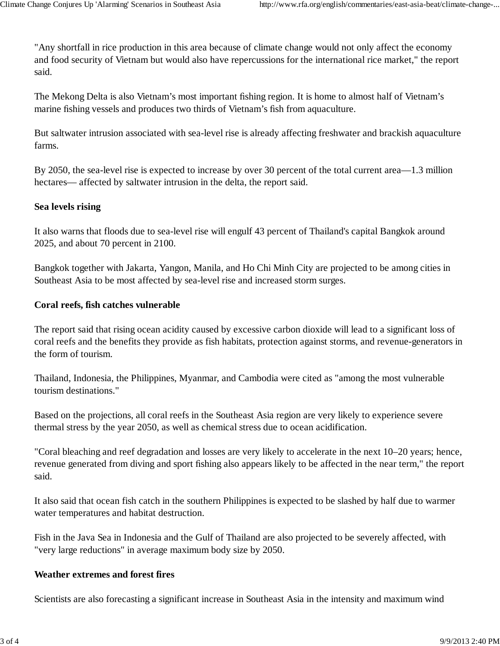"Any shortfall in rice production in this area because of climate change would not only affect the economy and food security of Vietnam but would also have repercussions for the international rice market," the report said.

The Mekong Delta is also Vietnam's most important fishing region. It is home to almost half of Vietnam's marine fishing vessels and produces two thirds of Vietnam's fish from aquaculture.

But saltwater intrusion associated with sea-level rise is already affecting freshwater and brackish aquaculture farms.

By 2050, the sea-level rise is expected to increase by over 30 percent of the total current area—1.3 million hectares— affected by saltwater intrusion in the delta, the report said.

### **Sea levels rising**

It also warns that floods due to sea-level rise will engulf 43 percent of Thailand's capital Bangkok around 2025, and about 70 percent in 2100.

Bangkok together with Jakarta, Yangon, Manila, and Ho Chi Minh City are projected to be among cities in Southeast Asia to be most affected by sea-level rise and increased storm surges.

### **Coral reefs, fish catches vulnerable**

The report said that rising ocean acidity caused by excessive carbon dioxide will lead to a significant loss of coral reefs and the benefits they provide as fish habitats, protection against storms, and revenue-generators in the form of tourism.

Thailand, Indonesia, the Philippines, Myanmar, and Cambodia were cited as "among the most vulnerable tourism destinations."

Based on the projections, all coral reefs in the Southeast Asia region are very likely to experience severe thermal stress by the year 2050, as well as chemical stress due to ocean acidification.

"Coral bleaching and reef degradation and losses are very likely to accelerate in the next 10–20 years; hence, revenue generated from diving and sport fishing also appears likely to be affected in the near term," the report said.

It also said that ocean fish catch in the southern Philippines is expected to be slashed by half due to warmer water temperatures and habitat destruction.

Fish in the Java Sea in Indonesia and the Gulf of Thailand are also projected to be severely affected, with "very large reductions" in average maximum body size by 2050.

### **Weather extremes and forest fires**

Scientists are also forecasting a significant increase in Southeast Asia in the intensity and maximum wind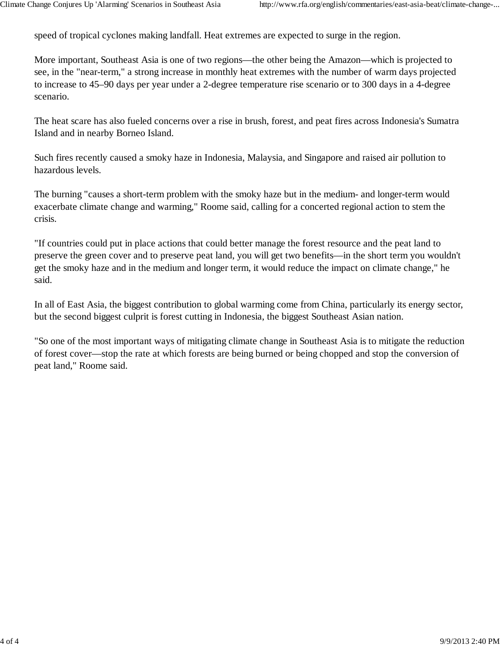speed of tropical cyclones making landfall. Heat extremes are expected to surge in the region.

More important, Southeast Asia is one of two regions—the other being the Amazon—which is projected to see, in the "near-term," a strong increase in monthly heat extremes with the number of warm days projected to increase to 45–90 days per year under a 2-degree temperature rise scenario or to 300 days in a 4-degree scenario.

The heat scare has also fueled concerns over a rise in brush, forest, and peat fires across Indonesia's Sumatra Island and in nearby Borneo Island.

Such fires recently caused a smoky haze in Indonesia, Malaysia, and Singapore and raised air pollution to hazardous levels.

The burning "causes a short-term problem with the smoky haze but in the medium- and longer-term would exacerbate climate change and warming," Roome said, calling for a concerted regional action to stem the crisis.

"If countries could put in place actions that could better manage the forest resource and the peat land to preserve the green cover and to preserve peat land, you will get two benefits—in the short term you wouldn't get the smoky haze and in the medium and longer term, it would reduce the impact on climate change," he said.

In all of East Asia, the biggest contribution to global warming come from China, particularly its energy sector, but the second biggest culprit is forest cutting in Indonesia, the biggest Southeast Asian nation.

"So one of the most important ways of mitigating climate change in Southeast Asia is to mitigate the reduction of forest cover—stop the rate at which forests are being burned or being chopped and stop the conversion of peat land," Roome said.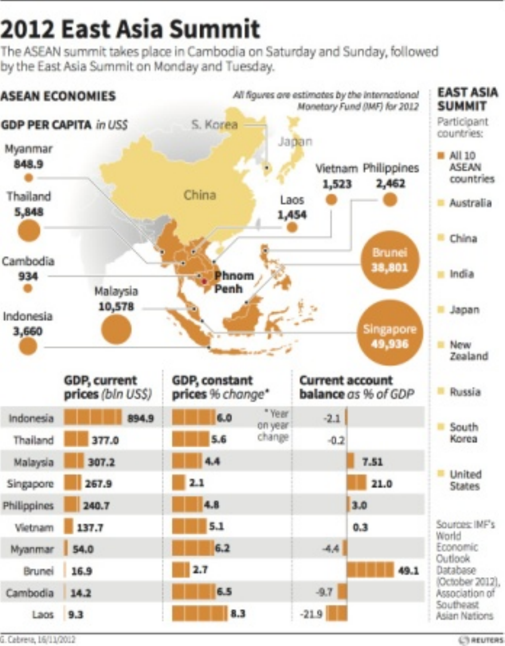#### 2012 Fast Asia Summit

The ASEAN survey things place in Cambodia on Saturday and Sunday followed The ASEAN Surrent texts place in Cathovina virus<br>hotha Fast Asja Summit on Monday and Tuesday

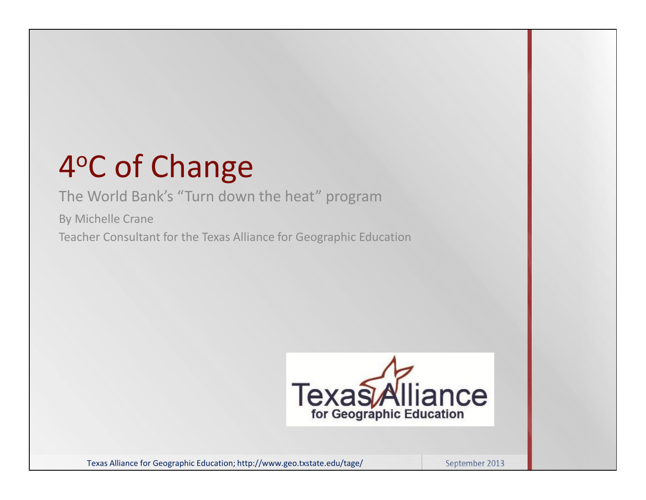# 4 <sup>o</sup>C of Change

# The World Bank's "Turn down the heat" program

By Michelle Crane

Teacher Consultant for the Texas Alliance for Geographic Education



Texas Alliance for Geographic Education; http://www.geo.txstate.edu/tage/ September 2013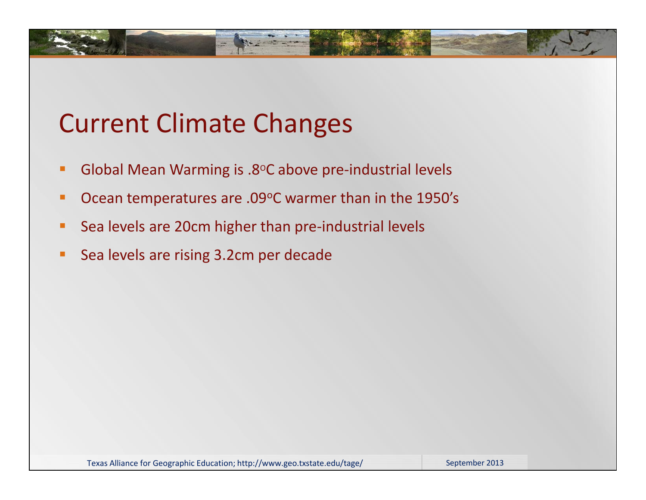# Current Climate Changes

- Global Mean Warming is .8°C above pre-industrial levels
- Ocean temperatures are .09°C warmer than in the 1950's
- **Sea levels are 20cm higher than pre-industrial levels**
- Sea levels are rising 3.2cm per decade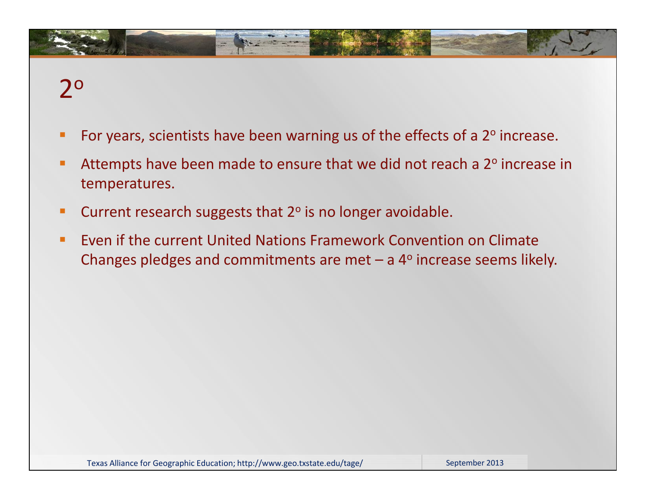# 2 o

- For years, scientists have been warning us of the effects of a  $2^{\circ}$  increase.
- Attempts have been made to ensure that we did not reach a 2° increase in temperatures.
- **EXP** Current research suggests that 2° is no longer avoidable.
- Even if the current United Nations Framework Convention on Climate Changes pledges and commitments are met  $-$  a  $4^{\circ}$  increase seems likely.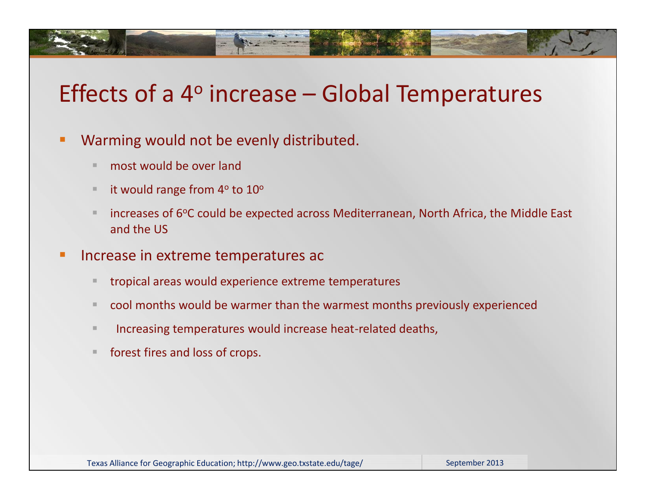# Effects of a 4<sup>o</sup> increase - Global Temperatures

- Warming would not be evenly distributed.
	- **most would be over land**
	- it would range from  $4^{\circ}$  to  $10^{\circ}$
	- increases of 6°C could be expected across Mediterranean, North Africa, the Middle East and the US
- Increase in extreme temperatures ac
	- **tropical areas would experience extreme temperatures**
	- cool months would be warmer than the warmest months previously experienced
	- **Increasing temperatures would increase heat-related deaths,**
	- **forest fires and loss of crops.**

Texas Alliance for Geographic Education; http://www.geo.txstate.edu/tage/ September 2013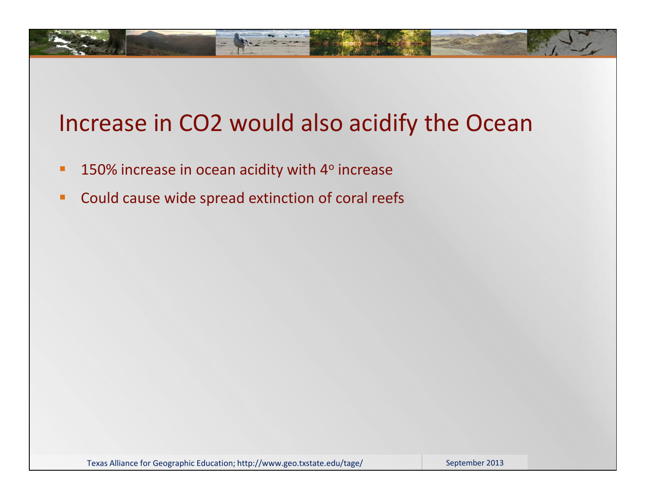# Increase in CO2 would also acidify the Ocean

- **150% increase in ocean acidity with 4° increase**
- **Could cause wide spread extinction of coral reefs**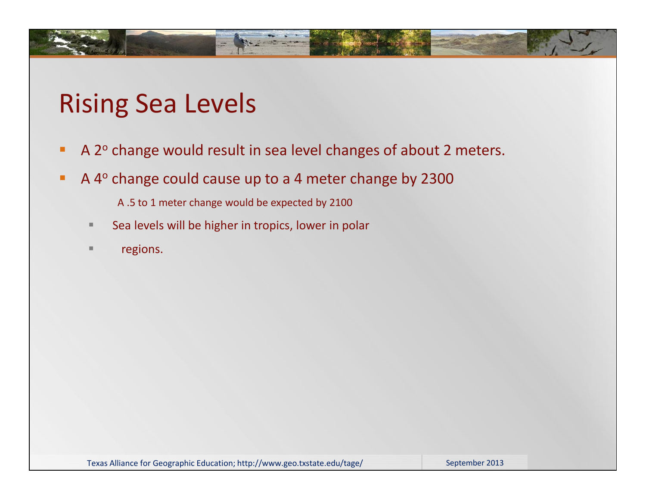# Rising Sea Levels

- A 2° change would result in sea level changes of about 2 meters.
- A 4<sup>o</sup> change could cause up to a 4 meter change by 2300
	- A .5 to 1 meter change would be expected by 2100
	- Sea levels will be higher in tropics, lower in polar
	- **regions.**

Texas Alliance for Geographic Education; http://www.geo.txstate.edu/tage/ September 2013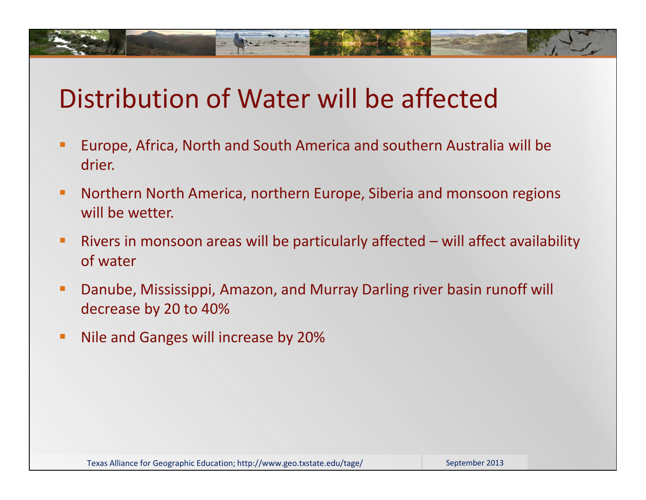# Distribution of Water will be affected

- Europe, Africa, North and South America and southern Australia will be drier.
- **Northern North America, northern Europe, Siberia and monsoon regions** will be wetter.
- Rivers in monsoon areas will be particularly affected will affect availability of water
- Danube, Mississippi, Amazon, and Murray Darling river basin runoff will decrease by 20 to 40%
- **Nile and Ganges will increase by 20%**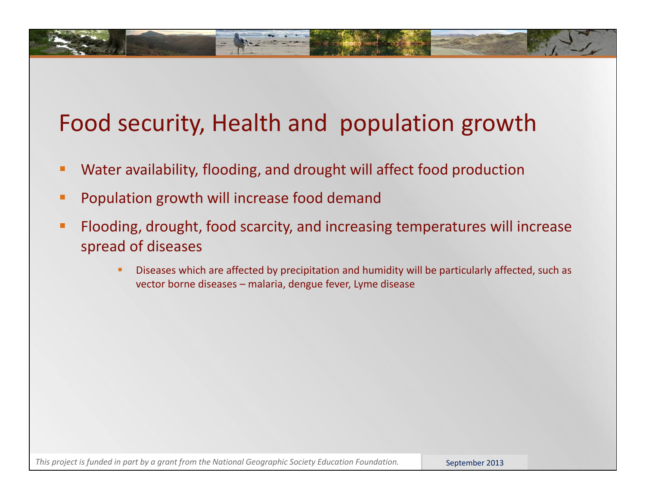# Food security, Health and population growth

- Water availability, flooding, and drought will affect food production
- **Population growth will increase food demand**
- **Fiooding, drought, food scarcity, and increasing temperatures will increase** spread of diseases
	- **Diseases which are affected by precipitation and humidity will be particularly affected, such as** vector borne diseases – malaria, dengue fever, Lyme disease

This project is funded in part by a grant from the National Geographic Society Education Foundation. **September 2013**